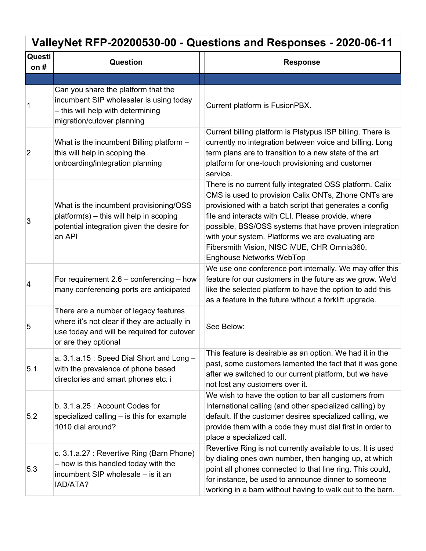# **ValleyNet RFP-20200530-00 - Questions and Responses - 2020-06-11**

| Questi<br>on $#$ | Question                                                                                                                                                    | <b>Response</b>                                                                                                                                                                                                                                                                                                                                                                                                                   |
|------------------|-------------------------------------------------------------------------------------------------------------------------------------------------------------|-----------------------------------------------------------------------------------------------------------------------------------------------------------------------------------------------------------------------------------------------------------------------------------------------------------------------------------------------------------------------------------------------------------------------------------|
|                  |                                                                                                                                                             |                                                                                                                                                                                                                                                                                                                                                                                                                                   |
| 1                | Can you share the platform that the<br>incumbent SIP wholesaler is using today<br>- this will help with determining<br>migration/cutover planning           | Current platform is FusionPBX.                                                                                                                                                                                                                                                                                                                                                                                                    |
| $\overline{2}$   | What is the incumbent Billing platform -<br>this will help in scoping the<br>onboarding/integration planning                                                | Current billing platform is Platypus ISP billing. There is<br>currently no integration between voice and billing. Long<br>term plans are to transition to a new state of the art<br>platform for one-touch provisioning and customer<br>service.                                                                                                                                                                                  |
| 3                | What is the incumbent provisioning/OSS<br>$platform(s) - this will help in scoping$<br>potential integration given the desire for<br>an API                 | There is no current fully integrated OSS platform. Calix<br>CMS is used to provision Calix ONTs, Zhone ONTs are<br>provisioned with a batch script that generates a config<br>file and interacts with CLI. Please provide, where<br>possible, BSS/OSS systems that have proven integration<br>with your system. Platforms we are evaluating are<br>Fibersmith Vision, NISC IVUE, CHR Omnia360,<br><b>Enghouse Networks WebTop</b> |
| 4                | For requirement $2.6$ – conferencing – how<br>many conferencing ports are anticipated                                                                       | We use one conference port internally. We may offer this<br>feature for our customers in the future as we grow. We'd<br>like the selected platform to have the option to add this<br>as a feature in the future without a forklift upgrade.                                                                                                                                                                                       |
| 5                | There are a number of legacy features<br>where it's not clear if they are actually in<br>use today and will be required for cutover<br>or are they optional | See Below:                                                                                                                                                                                                                                                                                                                                                                                                                        |
| 5.1              | a. 3.1.a.15: Speed Dial Short and Long -<br>with the prevalence of phone based<br>directories and smart phones etc. i                                       | This feature is desirable as an option. We had it in the<br>past, some customers lamented the fact that it was gone<br>after we switched to our current platform, but we have<br>not lost any customers over it.                                                                                                                                                                                                                  |
| 5.2              | b. 3.1.a.25: Account Codes for<br>specialized calling - is this for example<br>1010 dial around?                                                            | We wish to have the option to bar all customers from<br>International calling (and other specialized calling) by<br>default. If the customer desires specialized calling, we<br>provide them with a code they must dial first in order to<br>place a specialized call.                                                                                                                                                            |
| 5.3              | c. 3.1.a.27 : Revertive Ring (Barn Phone)<br>- how is this handled today with the<br>incumbent SIP wholesale - is it an<br>IAD/ATA?                         | Revertive Ring is not currently available to us. It is used<br>by dialing ones own number, then hanging up, at which<br>point all phones connected to that line ring. This could,<br>for instance, be used to announce dinner to someone<br>working in a barn without having to walk out to the barn.                                                                                                                             |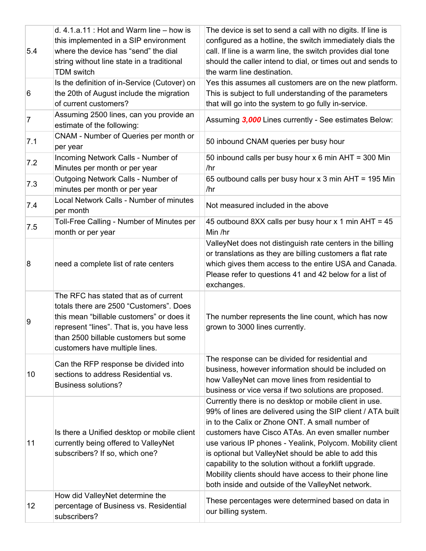| 5.4 | d. $4.1.a.11$ : Hot and Warm line $-$ how is<br>this implemented in a SIP environment<br>where the device has "send" the dial<br>string without line state in a traditional<br><b>TDM</b> switch                                                      | The device is set to send a call with no digits. If line is<br>configured as a hotline, the switch immediately dials the<br>call. If line is a warm line, the switch provides dial tone<br>should the caller intend to dial, or times out and sends to<br>the warm line destination.                                                                                                                                                                                                                                         |
|-----|-------------------------------------------------------------------------------------------------------------------------------------------------------------------------------------------------------------------------------------------------------|------------------------------------------------------------------------------------------------------------------------------------------------------------------------------------------------------------------------------------------------------------------------------------------------------------------------------------------------------------------------------------------------------------------------------------------------------------------------------------------------------------------------------|
| 6   | Is the definition of in-Service (Cutover) on<br>the 20th of August include the migration<br>of current customers?                                                                                                                                     | Yes this assumes all customers are on the new platform.<br>This is subject to full understanding of the parameters<br>that will go into the system to go fully in-service.                                                                                                                                                                                                                                                                                                                                                   |
| 7   | Assuming 2500 lines, can you provide an<br>estimate of the following:                                                                                                                                                                                 | Assuming 3,000 Lines currently - See estimates Below:                                                                                                                                                                                                                                                                                                                                                                                                                                                                        |
| 7.1 | CNAM - Number of Queries per month or<br>per year                                                                                                                                                                                                     | 50 inbound CNAM queries per busy hour                                                                                                                                                                                                                                                                                                                                                                                                                                                                                        |
| 7.2 | Incoming Network Calls - Number of<br>Minutes per month or per year                                                                                                                                                                                   | 50 inbound calls per busy hour x 6 min AHT = 300 Min<br>/hr                                                                                                                                                                                                                                                                                                                                                                                                                                                                  |
| 7.3 | Outgoing Network Calls - Number of<br>minutes per month or per year                                                                                                                                                                                   | 65 outbound calls per busy hour x 3 min AHT = 195 Min<br>/hr                                                                                                                                                                                                                                                                                                                                                                                                                                                                 |
| 7.4 | Local Network Calls - Number of minutes<br>per month                                                                                                                                                                                                  | Not measured included in the above                                                                                                                                                                                                                                                                                                                                                                                                                                                                                           |
| 7.5 | Toll-Free Calling - Number of Minutes per<br>month or per year                                                                                                                                                                                        | 45 outbound 8XX calls per busy hour x 1 min AHT = 45<br>Min /hr                                                                                                                                                                                                                                                                                                                                                                                                                                                              |
| 8   | need a complete list of rate centers                                                                                                                                                                                                                  | ValleyNet does not distinguish rate centers in the billing<br>or translations as they are billing customers a flat rate<br>which gives them access to the entire USA and Canada.<br>Please refer to questions 41 and 42 below for a list of<br>exchanges.                                                                                                                                                                                                                                                                    |
| 9   | The RFC has stated that as of current<br>totals there are 2500 "Customers". Does<br>this mean "billable customers" or does it<br>represent "lines". That is, you have less<br>than 2500 billable customers but some<br>customers have multiple lines. | The number represents the line count, which has now<br>grown to 3000 lines currently.                                                                                                                                                                                                                                                                                                                                                                                                                                        |
| 10  | Can the RFP response be divided into<br>sections to address Residential vs.<br><b>Business solutions?</b>                                                                                                                                             | The response can be divided for residential and<br>business, however information should be included on<br>how ValleyNet can move lines from residential to<br>business or vice versa if two solutions are proposed.                                                                                                                                                                                                                                                                                                          |
| 11  | Is there a Unified desktop or mobile client<br>currently being offered to ValleyNet<br>subscribers? If so, which one?                                                                                                                                 | Currently there is no desktop or mobile client in use.<br>99% of lines are delivered using the SIP client / ATA built<br>in to the Calix or Zhone ONT. A small number of<br>customers have Cisco ATAs. An even smaller number<br>use various IP phones - Yealink, Polycom. Mobility client<br>is optional but ValleyNet should be able to add this<br>capability to the solution without a forklift upgrade.<br>Mobility clients should have access to their phone line<br>both inside and outside of the ValleyNet network. |
| 12  | How did ValleyNet determine the<br>percentage of Business vs. Residential<br>subscribers?                                                                                                                                                             | These percentages were determined based on data in<br>our billing system.                                                                                                                                                                                                                                                                                                                                                                                                                                                    |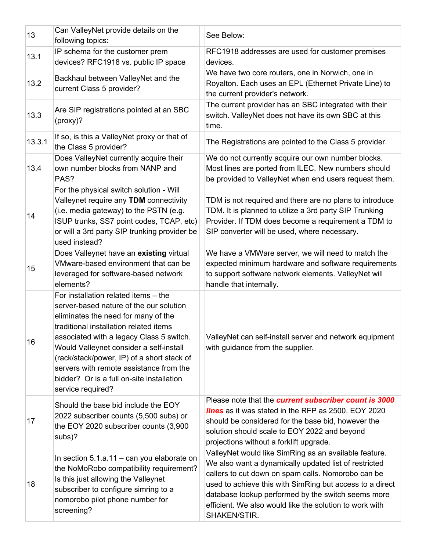| 13     | Can ValleyNet provide details on the<br>following topics:                                                                                                                                                                                                                                                                                                                                                          | See Below:                                                                                                                                                                                                                                                                                                                                                        |
|--------|--------------------------------------------------------------------------------------------------------------------------------------------------------------------------------------------------------------------------------------------------------------------------------------------------------------------------------------------------------------------------------------------------------------------|-------------------------------------------------------------------------------------------------------------------------------------------------------------------------------------------------------------------------------------------------------------------------------------------------------------------------------------------------------------------|
| 13.1   | IP schema for the customer prem<br>devices? RFC1918 vs. public IP space                                                                                                                                                                                                                                                                                                                                            | RFC1918 addresses are used for customer premises<br>devices.                                                                                                                                                                                                                                                                                                      |
| 13.2   | Backhaul between ValleyNet and the<br>current Class 5 provider?                                                                                                                                                                                                                                                                                                                                                    | We have two core routers, one in Norwich, one in<br>Royalton. Each uses an EPL (Ethernet Private Line) to<br>the current provider's network.                                                                                                                                                                                                                      |
| 13.3   | Are SIP registrations pointed at an SBC<br>(proxy)?                                                                                                                                                                                                                                                                                                                                                                | The current provider has an SBC integrated with their<br>switch. ValleyNet does not have its own SBC at this<br>time.                                                                                                                                                                                                                                             |
| 13.3.1 | If so, is this a ValleyNet proxy or that of<br>the Class 5 provider?                                                                                                                                                                                                                                                                                                                                               | The Registrations are pointed to the Class 5 provider.                                                                                                                                                                                                                                                                                                            |
| 13.4   | Does ValleyNet currently acquire their<br>own number blocks from NANP and<br>PAS?                                                                                                                                                                                                                                                                                                                                  | We do not currently acquire our own number blocks.<br>Most lines are ported from ILEC. New numbers should<br>be provided to ValleyNet when end users request them.                                                                                                                                                                                                |
| 14     | For the physical switch solution - Will<br>Valleynet require any TDM connectivity<br>(i.e. media gateway) to the PSTN (e.g.<br>ISUP trunks, SS7 point codes, TCAP, etc)<br>or will a 3rd party SIP trunking provider be<br>used instead?                                                                                                                                                                           | TDM is not required and there are no plans to introduce<br>TDM. It is planned to utilize a 3rd party SIP Trunking<br>Provider. If TDM does become a requirement a TDM to<br>SIP converter will be used, where necessary.                                                                                                                                          |
| 15     | Does Valleynet have an existing virtual<br>VMware-based environment that can be<br>leveraged for software-based network<br>elements?                                                                                                                                                                                                                                                                               | We have a VMWare server, we will need to match the<br>expected minimum hardware and software requirements<br>to support software network elements. ValleyNet will<br>handle that internally.                                                                                                                                                                      |
| 16     | For installation related items - the<br>server-based nature of the our solution<br>eliminates the need for many of the<br>traditional installation related items<br>associated with a legacy Class 5 switch.<br>Would Valleynet consider a self-install<br>(rack/stack/power, IP) of a short stack of<br>servers with remote assistance from the<br>bidder? Or is a full on-site installation<br>service required? | ValleyNet can self-install server and network equipment<br>with guidance from the supplier.                                                                                                                                                                                                                                                                       |
| 17     | Should the base bid include the EOY<br>2022 subscriber counts (5,500 subs) or<br>the EOY 2020 subscriber counts (3,900<br>subs)?                                                                                                                                                                                                                                                                                   | Please note that the current subscriber count is 3000<br><b>lines</b> as it was stated in the RFP as 2500. EOY 2020<br>should be considered for the base bid, however the<br>solution should scale to EOY 2022 and beyond<br>projections without a forklift upgrade.                                                                                              |
| 18     | In section $5.1.a.11 - can you elaborate on$<br>the NoMoRobo compatibility requirement?<br>Is this just allowing the Valleynet<br>subscriber to configure simring to a<br>nomorobo pilot phone number for<br>screening?                                                                                                                                                                                            | ValleyNet would like SimRing as an available feature.<br>We also want a dynamically updated list of restricted<br>callers to cut down on spam calls. Nomorobo can be<br>used to achieve this with SimRing but access to a direct<br>database lookup performed by the switch seems more<br>efficient. We also would like the solution to work with<br>SHAKEN/STIR. |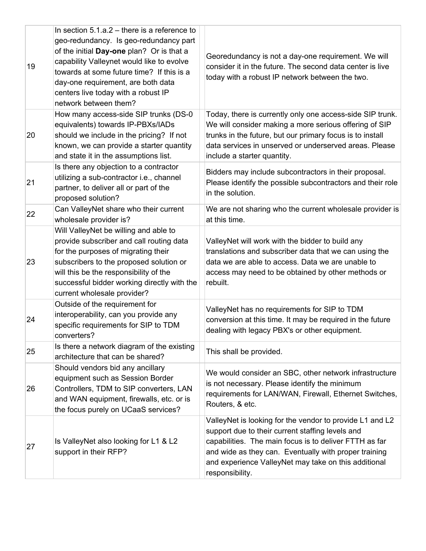| 19 | In section $5.1.a.2$ – there is a reference to<br>geo-redundancy. Is geo-redundancy part<br>of the initial Day-one plan? Or is that a<br>capability Valleynet would like to evolve<br>towards at some future time? If this is a<br>day-one requirement, are both data<br>centers live today with a robust IP<br>network between them? | Georedundancy is not a day-one requirement. We will<br>consider it in the future. The second data center is live<br>today with a robust IP network between the two.                                                                                                                                        |
|----|---------------------------------------------------------------------------------------------------------------------------------------------------------------------------------------------------------------------------------------------------------------------------------------------------------------------------------------|------------------------------------------------------------------------------------------------------------------------------------------------------------------------------------------------------------------------------------------------------------------------------------------------------------|
| 20 | How many access-side SIP trunks (DS-0<br>equivalents) towards IP-PBXs/IADs<br>should we include in the pricing? If not<br>known, we can provide a starter quantity<br>and state it in the assumptions list.                                                                                                                           | Today, there is currently only one access-side SIP trunk.<br>We will consider making a more serious offering of SIP<br>trunks in the future, but our primary focus is to install<br>data services in unserved or underserved areas. Please<br>include a starter quantity.                                  |
| 21 | Is there any objection to a contractor<br>utilizing a sub-contractor i.e., channel<br>partner, to deliver all or part of the<br>proposed solution?                                                                                                                                                                                    | Bidders may include subcontractors in their proposal.<br>Please identify the possible subcontractors and their role<br>in the solution.                                                                                                                                                                    |
| 22 | Can ValleyNet share who their current<br>wholesale provider is?                                                                                                                                                                                                                                                                       | We are not sharing who the current wholesale provider is<br>at this time.                                                                                                                                                                                                                                  |
| 23 | Will ValleyNet be willing and able to<br>provide subscriber and call routing data<br>for the purposes of migrating their<br>subscribers to the proposed solution or<br>will this be the responsibility of the<br>successful bidder working directly with the<br>current wholesale provider?                                           | ValleyNet will work with the bidder to build any<br>translations and subscriber data that we can using the<br>data we are able to access. Data we are unable to<br>access may need to be obtained by other methods or<br>rebuilt.                                                                          |
| 24 | Outside of the requirement for<br>interoperability, can you provide any<br>specific requirements for SIP to TDM<br>converters?                                                                                                                                                                                                        | ValleyNet has no requirements for SIP to TDM<br>conversion at this time. It may be required in the future<br>dealing with legacy PBX's or other equipment.                                                                                                                                                 |
| 25 | Is there a network diagram of the existing<br>architecture that can be shared?                                                                                                                                                                                                                                                        | This shall be provided.                                                                                                                                                                                                                                                                                    |
| 26 | Should vendors bid any ancillary<br>equipment such as Session Border<br>Controllers, TDM to SIP converters, LAN<br>and WAN equipment, firewalls, etc. or is<br>the focus purely on UCaaS services?                                                                                                                                    | We would consider an SBC, other network infrastructure<br>is not necessary. Please identify the minimum<br>requirements for LAN/WAN, Firewall, Ethernet Switches,<br>Routers, & etc.                                                                                                                       |
| 27 | Is ValleyNet also looking for L1 & L2<br>support in their RFP?                                                                                                                                                                                                                                                                        | ValleyNet is looking for the vendor to provide L1 and L2<br>support due to their current staffing levels and<br>capabilities. The main focus is to deliver FTTH as far<br>and wide as they can. Eventually with proper training<br>and experience ValleyNet may take on this additional<br>responsibility. |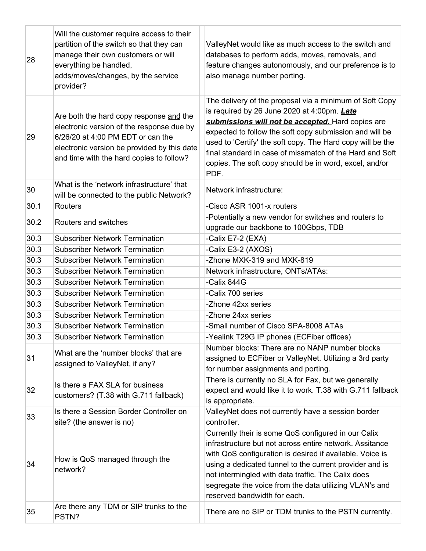| 28   | Will the customer require access to their<br>partition of the switch so that they can<br>manage their own customers or will<br>everything be handled,<br>adds/moves/changes, by the service<br>provider?             | ValleyNet would like as much access to the switch and<br>databases to perform adds, moves, removals, and<br>feature changes autonomously, and our preference is to<br>also manage number porting.                                                                                                                                                                                                                  |
|------|----------------------------------------------------------------------------------------------------------------------------------------------------------------------------------------------------------------------|--------------------------------------------------------------------------------------------------------------------------------------------------------------------------------------------------------------------------------------------------------------------------------------------------------------------------------------------------------------------------------------------------------------------|
| 29   | Are both the hard copy response and the<br>electronic version of the response due by<br>6/26/20 at 4:00 PM EDT or can the<br>electronic version be provided by this date<br>and time with the hard copies to follow? | The delivery of the proposal via a minimum of Soft Copy<br>is required by 26 June 2020 at 4:00pm. Late<br>submissions will not be accepted. Hard copies are<br>expected to follow the soft copy submission and will be<br>used to 'Certify' the soft copy. The Hard copy will be the<br>final standard in case of missmatch of the Hard and Soft<br>copies. The soft copy should be in word, excel, and/or<br>PDF. |
| 30   | What is the 'network infrastructure' that<br>will be connected to the public Network?                                                                                                                                | Network infrastructure:                                                                                                                                                                                                                                                                                                                                                                                            |
| 30.1 | Routers                                                                                                                                                                                                              | -Cisco ASR 1001-x routers                                                                                                                                                                                                                                                                                                                                                                                          |
| 30.2 | Routers and switches                                                                                                                                                                                                 | -Potentially a new vendor for switches and routers to<br>upgrade our backbone to 100Gbps, TDB                                                                                                                                                                                                                                                                                                                      |
| 30.3 | <b>Subscriber Network Termination</b>                                                                                                                                                                                | -Calix E7-2 (EXA)                                                                                                                                                                                                                                                                                                                                                                                                  |
| 30.3 | <b>Subscriber Network Termination</b>                                                                                                                                                                                | -Calix E3-2 (AXOS)                                                                                                                                                                                                                                                                                                                                                                                                 |
| 30.3 | <b>Subscriber Network Termination</b>                                                                                                                                                                                | -Zhone MXK-319 and MXK-819                                                                                                                                                                                                                                                                                                                                                                                         |
| 30.3 | <b>Subscriber Network Termination</b>                                                                                                                                                                                | Network infrastructure, ONTs/ATAs:                                                                                                                                                                                                                                                                                                                                                                                 |
| 30.3 | <b>Subscriber Network Termination</b>                                                                                                                                                                                | -Calix 844G                                                                                                                                                                                                                                                                                                                                                                                                        |
| 30.3 | <b>Subscriber Network Termination</b>                                                                                                                                                                                | -Calix 700 series                                                                                                                                                                                                                                                                                                                                                                                                  |
| 30.3 | <b>Subscriber Network Termination</b>                                                                                                                                                                                | -Zhone 42xx series                                                                                                                                                                                                                                                                                                                                                                                                 |
| 30.3 | <b>Subscriber Network Termination</b>                                                                                                                                                                                | -Zhone 24xx series                                                                                                                                                                                                                                                                                                                                                                                                 |
| 30.3 | <b>Subscriber Network Termination</b>                                                                                                                                                                                | -Small number of Cisco SPA-8008 ATAs                                                                                                                                                                                                                                                                                                                                                                               |
| 30.3 | <b>Subscriber Network Termination</b>                                                                                                                                                                                | -Yealink T29G IP phones (ECFiber offices)                                                                                                                                                                                                                                                                                                                                                                          |
| 31   | What are the 'number blocks' that are<br>assigned to ValleyNet, if any?                                                                                                                                              | Number blocks: There are no NANP number blocks<br>assigned to ECFiber or ValleyNet. Utilizing a 3rd party<br>for number assignments and porting.                                                                                                                                                                                                                                                                   |
| 32   | Is there a FAX SLA for business<br>customers? (T.38 with G.711 fallback)                                                                                                                                             | There is currently no SLA for Fax, but we generally<br>expect and would like it to work. T.38 with G.711 fallback<br>is appropriate.                                                                                                                                                                                                                                                                               |
| 33   | Is there a Session Border Controller on<br>site? (the answer is no)                                                                                                                                                  | ValleyNet does not currently have a session border<br>controller.                                                                                                                                                                                                                                                                                                                                                  |
| 34   | How is QoS managed through the<br>network?                                                                                                                                                                           | Currently their is some QoS configured in our Calix<br>infrastructure but not across entire network. Assitance<br>with QoS configuration is desired if available. Voice is<br>using a dedicated tunnel to the current provider and is<br>not intermingled with data traffic. The Calix does<br>segregate the voice from the data utilizing VLAN's and<br>reserved bandwidth for each.                              |
| 35   | Are there any TDM or SIP trunks to the<br>PSTN?                                                                                                                                                                      | There are no SIP or TDM trunks to the PSTN currently.                                                                                                                                                                                                                                                                                                                                                              |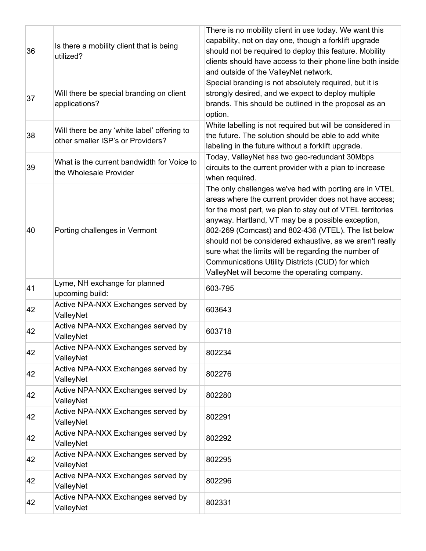| 36 | Is there a mobility client that is being<br>utilized?                            | There is no mobility client in use today. We want this<br>capability, not on day one, though a forklift upgrade<br>should not be required to deploy this feature. Mobility<br>clients should have access to their phone line both inside<br>and outside of the ValleyNet network.                                                                                                                                                                                                                                   |
|----|----------------------------------------------------------------------------------|---------------------------------------------------------------------------------------------------------------------------------------------------------------------------------------------------------------------------------------------------------------------------------------------------------------------------------------------------------------------------------------------------------------------------------------------------------------------------------------------------------------------|
| 37 | Will there be special branding on client<br>applications?                        | Special branding is not absolutely required, but it is<br>strongly desired, and we expect to deploy multiple<br>brands. This should be outlined in the proposal as an<br>option.                                                                                                                                                                                                                                                                                                                                    |
| 38 | Will there be any 'white label' offering to<br>other smaller ISP's or Providers? | White labelling is not required but will be considered in<br>the future. The solution should be able to add white<br>labeling in the future without a forklift upgrade.                                                                                                                                                                                                                                                                                                                                             |
| 39 | What is the current bandwidth for Voice to<br>the Wholesale Provider             | Today, ValleyNet has two geo-redundant 30Mbps<br>circuits to the current provider with a plan to increase<br>when required.                                                                                                                                                                                                                                                                                                                                                                                         |
| 40 | Porting challenges in Vermont                                                    | The only challenges we've had with porting are in VTEL<br>areas where the current provider does not have access;<br>for the most part, we plan to stay out of VTEL territories<br>anyway. Hartland, VT may be a possible exception,<br>802-269 (Comcast) and 802-436 (VTEL). The list below<br>should not be considered exhaustive, as we aren't really<br>sure what the limits will be regarding the number of<br>Communications Utility Districts (CUD) for which<br>ValleyNet will become the operating company. |
| 41 | Lyme, NH exchange for planned<br>upcoming build:                                 | 603-795                                                                                                                                                                                                                                                                                                                                                                                                                                                                                                             |
| 42 | Active NPA-NXX Exchanges served by<br>ValleyNet                                  | 603643                                                                                                                                                                                                                                                                                                                                                                                                                                                                                                              |
| 42 | Active NPA-NXX Exchanges served by<br>ValleyNet                                  | 603718                                                                                                                                                                                                                                                                                                                                                                                                                                                                                                              |
| 42 | Active NPA-NXX Exchanges served by<br>ValleyNet                                  | 802234                                                                                                                                                                                                                                                                                                                                                                                                                                                                                                              |
| 42 | Active NPA-NXX Exchanges served by<br>ValleyNet                                  | 802276                                                                                                                                                                                                                                                                                                                                                                                                                                                                                                              |
| 42 | Active NPA-NXX Exchanges served by<br>ValleyNet                                  | 802280                                                                                                                                                                                                                                                                                                                                                                                                                                                                                                              |
| 42 | Active NPA-NXX Exchanges served by<br>ValleyNet                                  | 802291                                                                                                                                                                                                                                                                                                                                                                                                                                                                                                              |
| 42 | Active NPA-NXX Exchanges served by<br>ValleyNet                                  | 802292                                                                                                                                                                                                                                                                                                                                                                                                                                                                                                              |
| 42 | Active NPA-NXX Exchanges served by<br>ValleyNet                                  | 802295                                                                                                                                                                                                                                                                                                                                                                                                                                                                                                              |
| 42 | Active NPA-NXX Exchanges served by<br>ValleyNet                                  | 802296                                                                                                                                                                                                                                                                                                                                                                                                                                                                                                              |
| 42 | Active NPA-NXX Exchanges served by<br>ValleyNet                                  | 802331                                                                                                                                                                                                                                                                                                                                                                                                                                                                                                              |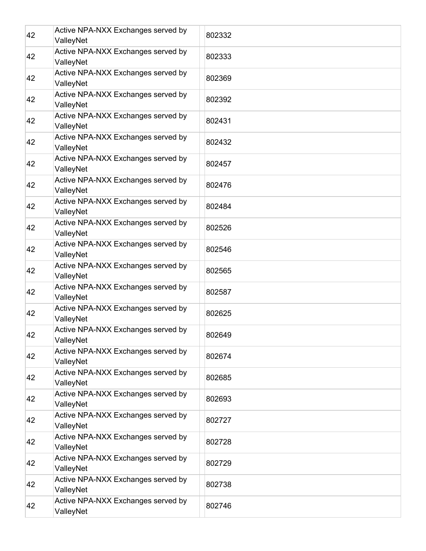| 42 | Active NPA-NXX Exchanges served by<br>ValleyNet | 802332 |
|----|-------------------------------------------------|--------|
| 42 | Active NPA-NXX Exchanges served by<br>ValleyNet | 802333 |
| 42 | Active NPA-NXX Exchanges served by<br>ValleyNet | 802369 |
| 42 | Active NPA-NXX Exchanges served by<br>ValleyNet | 802392 |
| 42 | Active NPA-NXX Exchanges served by<br>ValleyNet | 802431 |
| 42 | Active NPA-NXX Exchanges served by<br>ValleyNet | 802432 |
| 42 | Active NPA-NXX Exchanges served by<br>ValleyNet | 802457 |
| 42 | Active NPA-NXX Exchanges served by<br>ValleyNet | 802476 |
| 42 | Active NPA-NXX Exchanges served by<br>ValleyNet | 802484 |
| 42 | Active NPA-NXX Exchanges served by<br>ValleyNet | 802526 |
| 42 | Active NPA-NXX Exchanges served by<br>ValleyNet | 802546 |
| 42 | Active NPA-NXX Exchanges served by<br>ValleyNet | 802565 |
| 42 | Active NPA-NXX Exchanges served by<br>ValleyNet | 802587 |
| 42 | Active NPA-NXX Exchanges served by<br>ValleyNet | 802625 |
| 42 | Active NPA-NXX Exchanges served by<br>ValleyNet | 802649 |
| 42 | Active NPA-NXX Exchanges served by<br>ValleyNet | 802674 |
| 42 | Active NPA-NXX Exchanges served by<br>ValleyNet | 802685 |
| 42 | Active NPA-NXX Exchanges served by<br>ValleyNet | 802693 |
| 42 | Active NPA-NXX Exchanges served by<br>ValleyNet | 802727 |
| 42 | Active NPA-NXX Exchanges served by<br>ValleyNet | 802728 |
| 42 | Active NPA-NXX Exchanges served by<br>ValleyNet | 802729 |
| 42 | Active NPA-NXX Exchanges served by<br>ValleyNet | 802738 |
| 42 | Active NPA-NXX Exchanges served by<br>ValleyNet | 802746 |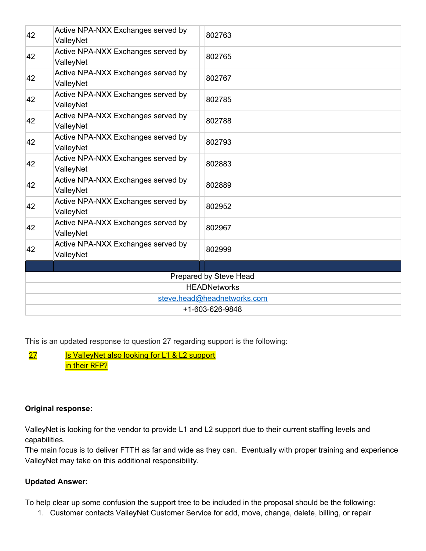| 42                          | Active NPA-NXX Exchanges served by<br>ValleyNet | 802763 |
|-----------------------------|-------------------------------------------------|--------|
| 42                          | Active NPA-NXX Exchanges served by<br>ValleyNet | 802765 |
| 42                          | Active NPA-NXX Exchanges served by<br>ValleyNet | 802767 |
| 42                          | Active NPA-NXX Exchanges served by<br>ValleyNet | 802785 |
| 42                          | Active NPA-NXX Exchanges served by<br>ValleyNet | 802788 |
| 42                          | Active NPA-NXX Exchanges served by<br>ValleyNet | 802793 |
| 42                          | Active NPA-NXX Exchanges served by<br>ValleyNet | 802883 |
| 42                          | Active NPA-NXX Exchanges served by<br>ValleyNet | 802889 |
| 42                          | Active NPA-NXX Exchanges served by<br>ValleyNet | 802952 |
| 42                          | Active NPA-NXX Exchanges served by<br>ValleyNet | 802967 |
| 42                          | Active NPA-NXX Exchanges served by<br>ValleyNet | 802999 |
|                             |                                                 |        |
| Prepared by Steve Head      |                                                 |        |
| <b>HEADNetworks</b>         |                                                 |        |
| steve.head@headnetworks.com |                                                 |        |
| +1-603-626-9848             |                                                 |        |
|                             |                                                 |        |

This is an updated response to question 27 regarding support is the following:

27 Is ValleyNet also looking for L1 & L2 support in their RFP?

## **Original response:**

ValleyNet is looking for the vendor to provide L1 and L2 support due to their current staffing levels and capabilities.

The main focus is to deliver FTTH as far and wide as they can. Eventually with proper training and experience ValleyNet may take on this additional responsibility.

#### **Updated Answer:**

To help clear up some confusion the support tree to be included in the proposal should be the following:

1. Customer contacts ValleyNet Customer Service for add, move, change, delete, billing, or repair